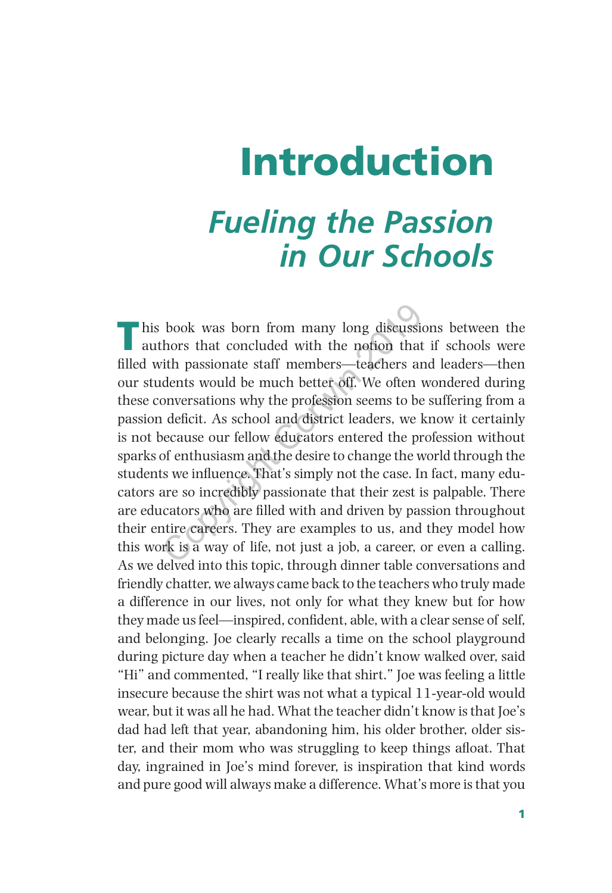# Introduction *Fueling the Passion in Our Schools*

his book was born from many long discussions between the authors that concluded with the notion that if schools were filled with passionate staff members—teachers and leaders—then our students would be much better off. We often wondered during these conversations why the profession seems to be suffering from a passion deficit. As school and district leaders, we know it certainly is not because our fellow educators entered the profession without sparks of enthusiasm and the desire to change the world through the students we influence. That's simply not the case. In fact, many educators are so incredibly passionate that their zest is palpable. There are educators who are filled with and driven by passion throughout their entire careers. They are examples to us, and they model how this work is a way of life, not just a job, a career, or even a calling. As we delved into this topic, through dinner table conversations and friendly chatter, we always came back to the teachers who truly made a difference in our lives, not only for what they knew but for how they made us feel—inspired, confident, able, with a clear sense of self, and belonging. Joe clearly recalls a time on the school playground during picture day when a teacher he didn't know walked over, said "Hi" and commented, "I really like that shirt." Joe was feeling a little insecure because the shirt was not what a typical 11-year-old would wear, but it was all he had. What the teacher didn't know is that Joe's dad had left that year, abandoning him, his older brother, older sister, and their mom who was struggling to keep things afloat. That day, ingrained in Joe's mind forever, is inspiration that kind words and pure good will always make a difference. What's more is that you book was born from many long discussion<br>thors that concluded with the notion that<br>ith passionate staff members—teachers and<br>dents would be much better off. We often w<br>onversations why the profession seems to be :<br>deficit.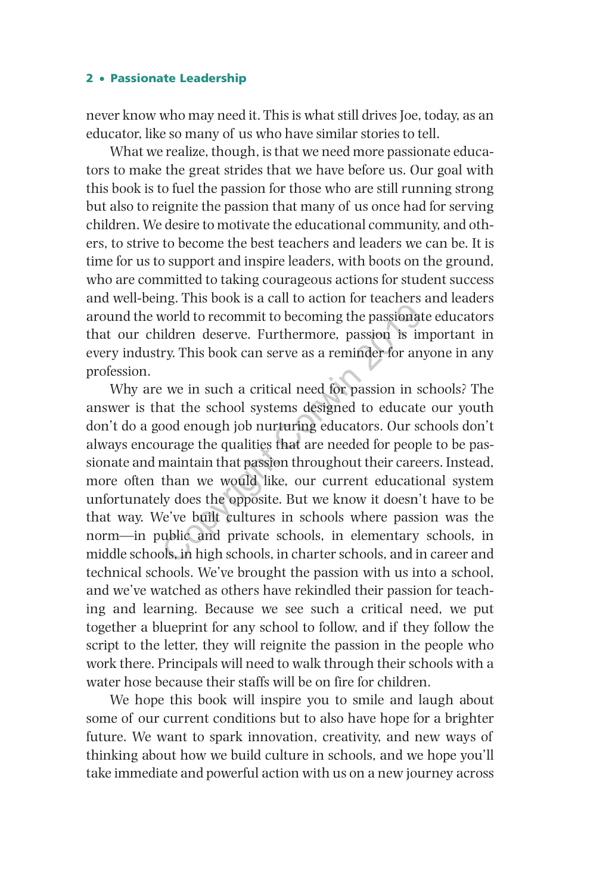never know who may need it. This is what still drives Joe, today, as an educator, like so many of us who have similar stories to tell.

What we realize, though, is that we need more passionate educators to make the great strides that we have before us. Our goal with this book is to fuel the passion for those who are still running strong but also to reignite the passion that many of us once had for serving children. We desire to motivate the educational community, and others, to strive to become the best teachers and leaders we can be. It is time for us to support and inspire leaders, with boots on the ground, who are committed to taking courageous actions for student success and well-being. This book is a call to action for teachers and leaders around the world to recommit to becoming the passionate educators that our children deserve. Furthermore, passion is important in every industry. This book can serve as a reminder for anyone in any profession.

Why are we in such a critical need for passion in schools? The answer is that the school systems designed to educate our youth don't do a good enough job nurturing educators. Our schools don't always encourage the qualities that are needed for people to be passionate and maintain that passion throughout their careers. Instead, more often than we would like, our current educational system unfortunately does the opposite. But we know it doesn't have to be that way. We've built cultures in schools where passion was the norm—in public and private schools, in elementary schools, in middle schools, in high schools, in charter schools, and in career and technical schools. We've brought the passion with us into a school, and we've watched as others have rekindled their passion for teaching and learning. Because we see such a critical need, we put together a blueprint for any school to follow, and if they follow the script to the letter, they will reignite the passion in the people who work there. Principals will need to walk through their schools with a water hose because their staffs will be on fire for children. Example 1 and the determined teacher of a<br>sound to recommit to becoming the passionate<br>ildren deserve. Furthermore, passion is impry. This book can serve as a reminder for any<br>expectively. This book can serve as a reminder

We hope this book will inspire you to smile and laugh about some of our current conditions but to also have hope for a brighter future. We want to spark innovation, creativity, and new ways of thinking about how we build culture in schools, and we hope you'll take immediate and powerful action with us on a new journey across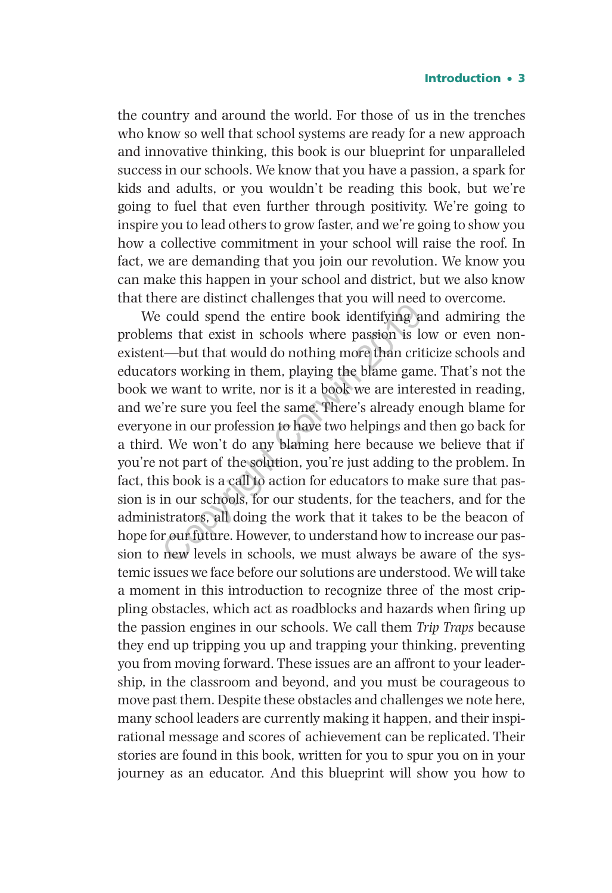#### Introduction • 3

the country and around the world. For those of us in the trenches who know so well that school systems are ready for a new approach and innovative thinking, this book is our blueprint for unparalleled success in our schools. We know that you have a passion, a spark for kids and adults, or you wouldn't be reading this book, but we're going to fuel that even further through positivity. We're going to inspire you to lead others to grow faster, and we're going to show you how a collective commitment in your school will raise the roof. In fact, we are demanding that you join our revolution. We know you can make this happen in your school and district, but we also know that there are distinct challenges that you will need to overcome.

We could spend the entire book identifying and admiring the problems that exist in schools where passion is low or even nonexistent—but that would do nothing more than criticize schools and educators working in them, playing the blame game. That's not the book we want to write, nor is it a book we are interested in reading, and we're sure you feel the same. There's already enough blame for everyone in our profession to have two helpings and then go back for a third. We won't do any blaming here because we believe that if you're not part of the solution, you're just adding to the problem. In fact, this book is a call to action for educators to make sure that passion is in our schools, for our students, for the teachers, and for the administrators, all doing the work that it takes to be the beacon of hope for our future. However, to understand how to increase our passion to new levels in schools, we must always be aware of the systemic issues we face before our solutions are understood. We will take a moment in this introduction to recognize three of the most crippling obstacles, which act as roadblocks and hazards when firing up the passion engines in our schools. We call them *Trip Traps* because they end up tripping you up and trapping your thinking, preventing you from moving forward. These issues are an affront to your leadership, in the classroom and beyond, and you must be courageous to move past them. Despite these obstacles and challenges we note here, many school leaders are currently making it happen, and their inspirational message and scores of achievement can be replicated. Their stories are found in this book, written for you to spur you on in your journey as an educator. And this blueprint will show you how to could spend the entire book identifying and<br>could spend the entire book identifying and<br>t—but that would do nothing more than critions<br>working in them, playing the blame game<br>e want to write, nor is it a book we are intere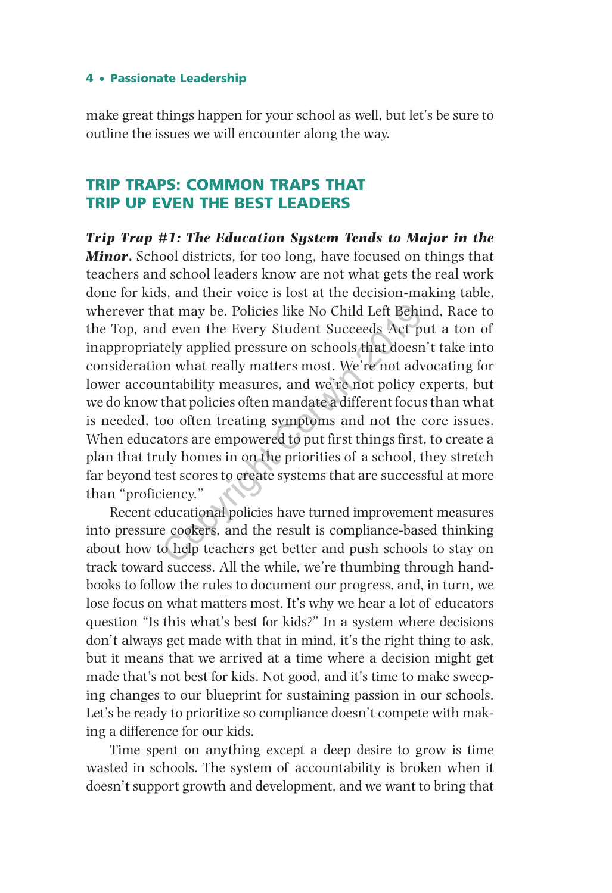make great things happen for your school as well, but let's be sure to outline the issues we will encounter along the way.

### TRIP TRAPS: COMMON TRAPS THAT TRIP UP EVEN THE BEST LEADERS

*Trip Trap #1: The Education System Tends to Major in the Minor***.** School districts, for too long, have focused on things that teachers and school leaders know are not what gets the real work done for kids, and their voice is lost at the decision-making table, wherever that may be. Policies like No Child Left Behind, Race to the Top, and even the Every Student Succeeds Act put a ton of inappropriately applied pressure on schools that doesn't take into consideration what really matters most. We're not advocating for lower accountability measures, and we're not policy experts, but we do know that policies often mandate a different focus than what is needed, too often treating symptoms and not the core issues. When educators are empowered to put first things first, to create a plan that truly homes in on the priorities of a school, they stretch far beyond test scores to create systems that are successful at more than "proficiency." at may be. Policies like No Child Left Behind<br>d even the Every Student Succeeds Act pu<br>tely applied pressure on schools that doesn'<br>n what really matters most. We're not advo<br>ntability measures, and we're not policy ex<br>tha

Recent educational policies have turned improvement measures into pressure cookers, and the result is compliance-based thinking about how to help teachers get better and push schools to stay on track toward success. All the while, we're thumbing through handbooks to follow the rules to document our progress, and, in turn, we lose focus on what matters most. It's why we hear a lot of educators question "Is this what's best for kids?" In a system where decisions don't always get made with that in mind, it's the right thing to ask, but it means that we arrived at a time where a decision might get made that's not best for kids. Not good, and it's time to make sweeping changes to our blueprint for sustaining passion in our schools. Let's be ready to prioritize so compliance doesn't compete with making a difference for our kids.

Time spent on anything except a deep desire to grow is time wasted in schools. The system of accountability is broken when it doesn't support growth and development, and we want to bring that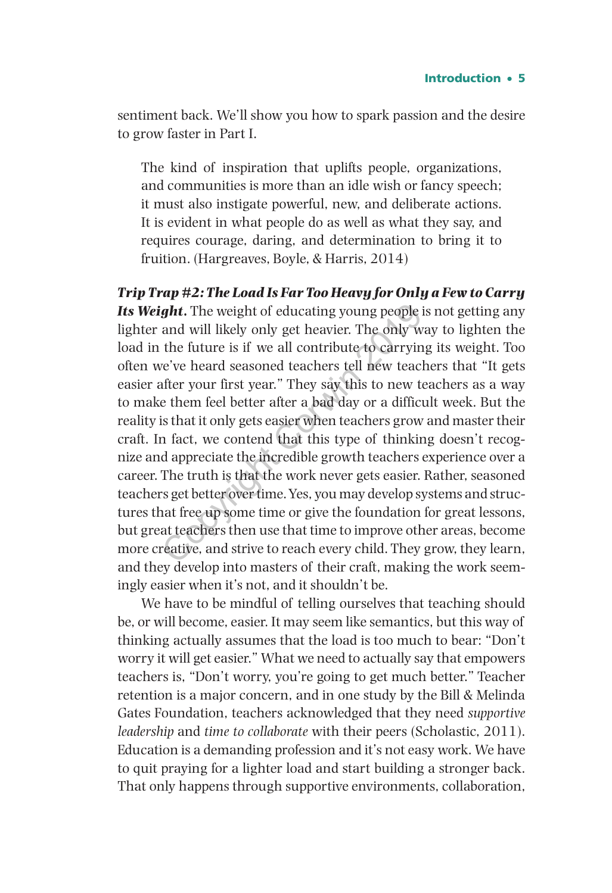sentiment back. We'll show you how to spark passion and the desire to grow faster in Part I.

The kind of inspiration that uplifts people, organizations, and communities is more than an idle wish or fancy speech; it must also instigate powerful, new, and deliberate actions. It is evident in what people do as well as what they say, and requires courage, daring, and determination to bring it to fruition. (Hargreaves, Boyle, & Harris, 2014)

*Trip Trap #2: The Load Is Far Too Heavy for Only a Few to Carry Its Weight***.** The weight of educating young people is not getting any lighter and will likely only get heavier. The only way to lighten the load in the future is if we all contribute to carrying its weight. Too often we've heard seasoned teachers tell new teachers that "It gets easier after your first year." They say this to new teachers as a way to make them feel better after a bad day or a difficult week. But the reality is that it only gets easier when teachers grow and master their craft. In fact, we contend that this type of thinking doesn't recognize and appreciate the incredible growth teachers experience over a career. The truth is that the work never gets easier. Rather, seasoned teachers get better over time. Yes, you may develop systems and structures that free up some time or give the foundation for great lessons, but great teachers then use that time to improve other areas, become more creative, and strive to reach every child. They grow, they learn, and they develop into masters of their craft, making the work seemingly easier when it's not, and it shouldn't be. **ght.** The weight of educating young people is and will likely only get heavier. The only wa the future is if we all contribute to carrying e've heard seasoned teachers tell new teach after your first year." They say this

We have to be mindful of telling ourselves that teaching should be, or will become, easier. It may seem like semantics, but this way of thinking actually assumes that the load is too much to bear: "Don't worry it will get easier." What we need to actually say that empowers teachers is, "Don't worry, you're going to get much better." Teacher retention is a major concern, and in one study by the Bill & Melinda Gates Foundation, teachers acknowledged that they need *supportive leadership* and *time to collaborate* with their peers (Scholastic, 2011). Education is a demanding profession and it's not easy work. We have to quit praying for a lighter load and start building a stronger back. That only happens through supportive environments, collaboration,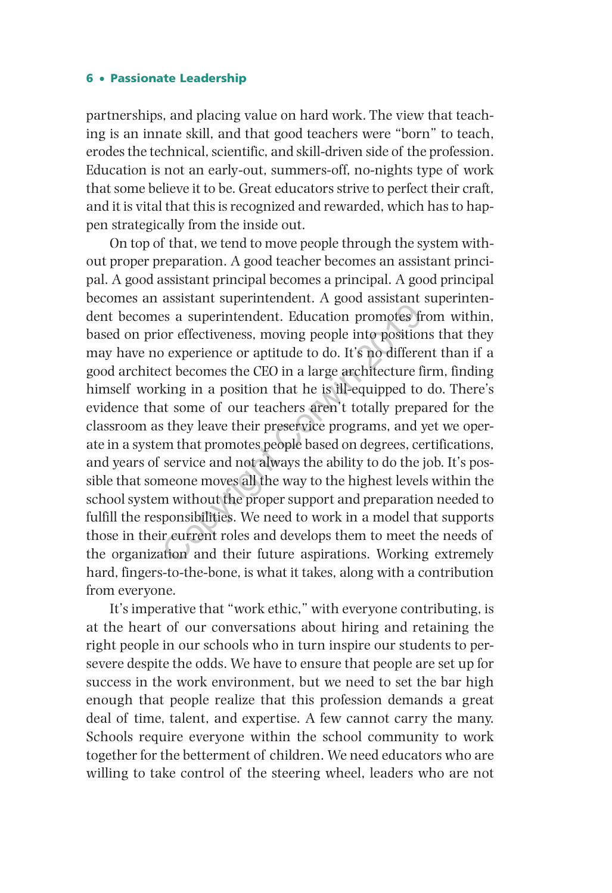partnerships, and placing value on hard work. The view that teaching is an innate skill, and that good teachers were "born" to teach, erodes the technical, scientific, and skill-driven side of the profession. Education is not an early-out, summers-off, no-nights type of work that some believe it to be. Great educators strive to perfect their craft, and it is vital that this is recognized and rewarded, which has to happen strategically from the inside out.

On top of that, we tend to move people through the system without proper preparation. A good teacher becomes an assistant principal. A good assistant principal becomes a principal. A good principal becomes an assistant superintendent. A good assistant superintendent becomes a superintendent. Education promotes from within, based on prior effectiveness, moving people into positions that they may have no experience or aptitude to do. It's no different than if a good architect becomes the CEO in a large architecture firm, finding himself working in a position that he is ill-equipped to do. There's evidence that some of our teachers aren't totally prepared for the classroom as they leave their preservice programs, and yet we operate in a system that promotes people based on degrees, certifications, and years of service and not always the ability to do the job. It's possible that someone moves all the way to the highest levels within the school system without the proper support and preparation needed to fulfill the responsibilities. We need to work in a model that supports those in their current roles and develops them to meet the needs of the organization and their future aspirations. Working extremely hard, fingers-to-the-bone, is what it takes, along with a contribution from everyone. Example the absolute of production of good absolute of set all absolute of set all absolute of set all the properties or effectiveness, moving people into positions of experience or aptitude to do. It's no different of bec

It's imperative that "work ethic," with everyone contributing, is at the heart of our conversations about hiring and retaining the right people in our schools who in turn inspire our students to persevere despite the odds. We have to ensure that people are set up for success in the work environment, but we need to set the bar high enough that people realize that this profession demands a great deal of time, talent, and expertise. A few cannot carry the many. Schools require everyone within the school community to work together for the betterment of children. We need educators who are willing to take control of the steering wheel, leaders who are not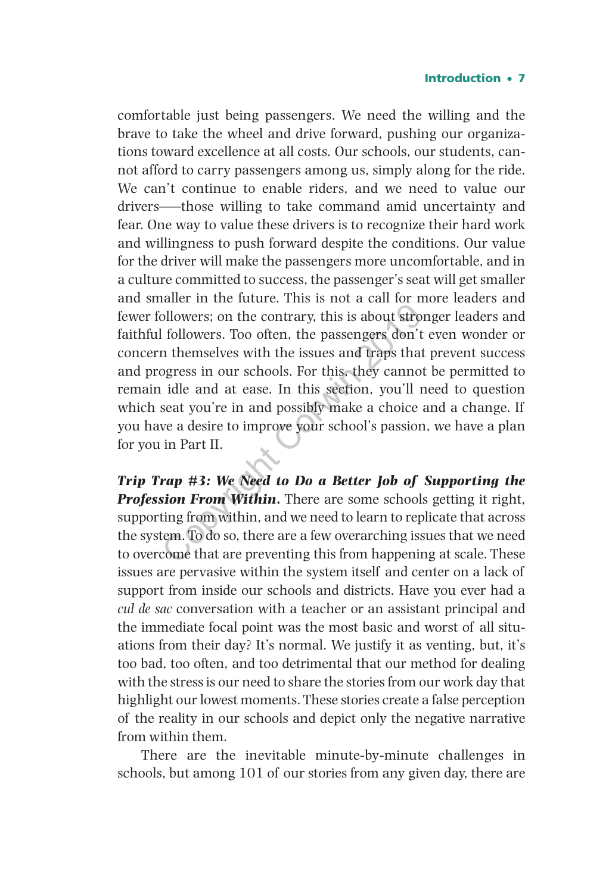#### Introduction • 7

comfortable just being passengers. We need the willing and the brave to take the wheel and drive forward, pushing our organizations toward excellence at all costs*.* Our schools, our students, cannot afford to carry passengers among us, simply along for the ride. We can't continue to enable riders, and we need to value our drivers–—those willing to take command amid uncertainty and fear. One way to value these drivers is to recognize their hard work and willingness to push forward despite the conditions. Our value for the driver will make the passengers more uncomfortable, and in a culture committed to success, the passenger's seat will get smaller and smaller in the future. This is not a call for more leaders and fewer followers; on the contrary, this is about stronger leaders and faithful followers. Too often, the passengers don't even wonder or concern themselves with the issues and traps that prevent success and progress in our schools. For this, they cannot be permitted to remain idle and at ease. In this section, you'll need to question which seat you're in and possibly make a choice and a change. If you have a desire to improve your school's passion, we have a plan for you in Part II. contrary in the contrary, this is about strongulowers; on the contrary, this is about strongulowers. Too often, the passengers don't and themselves with the issues and traps that opgress in our schools. For this, they can

*Trip Trap #3: We Need to Do a Better Job of Supporting the Profession From Within***.** There are some schools getting it right, supporting from within, and we need to learn to replicate that across the system. To do so, there are a few overarching issues that we need to overcome that are preventing this from happening at scale. These issues are pervasive within the system itself and center on a lack of support from inside our schools and districts. Have you ever had a *cul de sac* conversation with a teacher or an assistant principal and the immediate focal point was the most basic and worst of all situations from their day? It's normal. We justify it as venting, but, it's too bad, too often, and too detrimental that our method for dealing with the stress is our need to share the stories from our work day that highlight our lowest moments. These stories create a false perception of the reality in our schools and depict only the negative narrative from within them.

There are the inevitable minute-by-minute challenges in schools, but among 101 of our stories from any given day, there are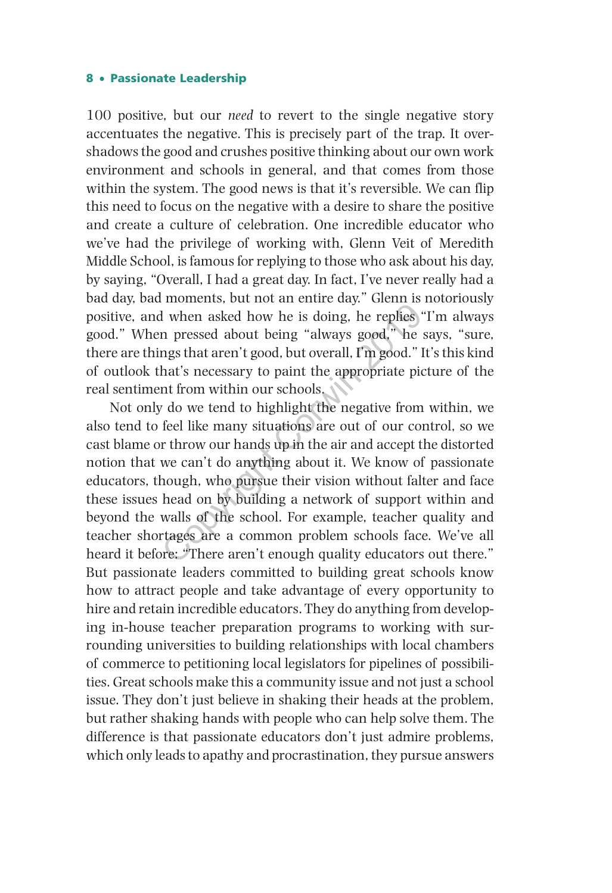100 positive, but our *need* to revert to the single negative story accentuates the negative. This is precisely part of the trap. It overshadows the good and crushes positive thinking about our own work environment and schools in general, and that comes from those within the system. The good news is that it's reversible. We can flip this need to focus on the negative with a desire to share the positive and create a culture of celebration. One incredible educator who we've had the privilege of working with, Glenn Veit of Meredith Middle School, is famous for replying to those who ask about his day, by saying, "Overall, I had a great day. In fact, I've never really had a bad day, bad moments, but not an entire day." Glenn is notoriously positive, and when asked how he is doing, he replies "I'm always good." When pressed about being "always good," he says, "sure, there are things that aren't good, but overall, I'm good." It's this kind of outlook that's necessary to paint the appropriate picture of the real sentiment from within our schools.

Not only do we tend to highlight the negative from within, we also tend to feel like many situations are out of our control, so we cast blame or throw our hands up in the air and accept the distorted notion that we can't do anything about it. We know of passionate educators, though, who pursue their vision without falter and face these issues head on by building a network of support within and beyond the walls of the school. For example, teacher quality and teacher shortages are a common problem schools face. We've all heard it before: "There aren't enough quality educators out there." But passionate leaders committed to building great schools know how to attract people and take advantage of every opportunity to hire and retain incredible educators. They do anything from developing in-house teacher preparation programs to working with surrounding universities to building relationships with local chambers of commerce to petitioning local legislators for pipelines of possibilities. Great schools make this a community issue and not just a school issue. They don't just believe in shaking their heads at the problem, but rather shaking hands with people who can help solve them. The difference is that passionate educators don't just admire problems, which only leads to apathy and procrastination, they pursue answers The asset of the air change, because the set of the set of the set of the set of the set of the set of the set of the set of the set of the set of the set of the set of the set of the set of the set of the set of the set o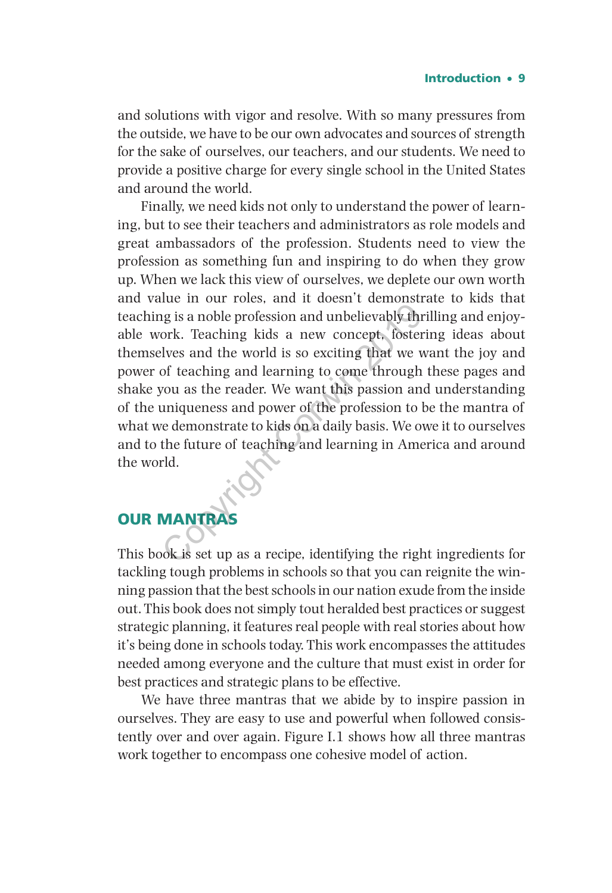#### Introduction • 9

and solutions with vigor and resolve. With so many pressures from the outside, we have to be our own advocates and sources of strength for the sake of ourselves, our teachers, and our students. We need to provide a positive charge for every single school in the United States and around the world.

Finally, we need kids not only to understand the power of learning, but to see their teachers and administrators as role models and great ambassadors of the profession. Students need to view the profession as something fun and inspiring to do when they grow up. When we lack this view of ourselves, we deplete our own worth and value in our roles, and it doesn't demonstrate to kids that teaching is a noble profession and unbelievably thrilling and enjoyable work. Teaching kids a new concept, fostering ideas about themselves and the world is so exciting that we want the joy and power of teaching and learning to come through these pages and shake you as the reader. We want this passion and understanding of the uniqueness and power of the profession to be the mantra of what we demonstrate to kids on a daily basis. We owe it to ourselves and to the future of teaching and learning in America and around the world. The anti-state and unbelievably thriving is a noble profession and unbelievably thriving it ork. Teaching kids a new concept, fosterill lives and the world is so exciting that we wish the reader. We want this passion and u

## OUR MANTRAS

This book is set up as a recipe, identifying the right ingredients for tackling tough problems in schools so that you can reignite the winning passion that the best schools in our nation exude from the inside out. This book does not simply tout heralded best practices or suggest strategic planning, it features real people with real stories about how it's being done in schools today. This work encompasses the attitudes needed among everyone and the culture that must exist in order for best practices and strategic plans to be effective.

We have three mantras that we abide by to inspire passion in ourselves. They are easy to use and powerful when followed consistently over and over again. Figure I.1 shows how all three mantras work together to encompass one cohesive model of action.